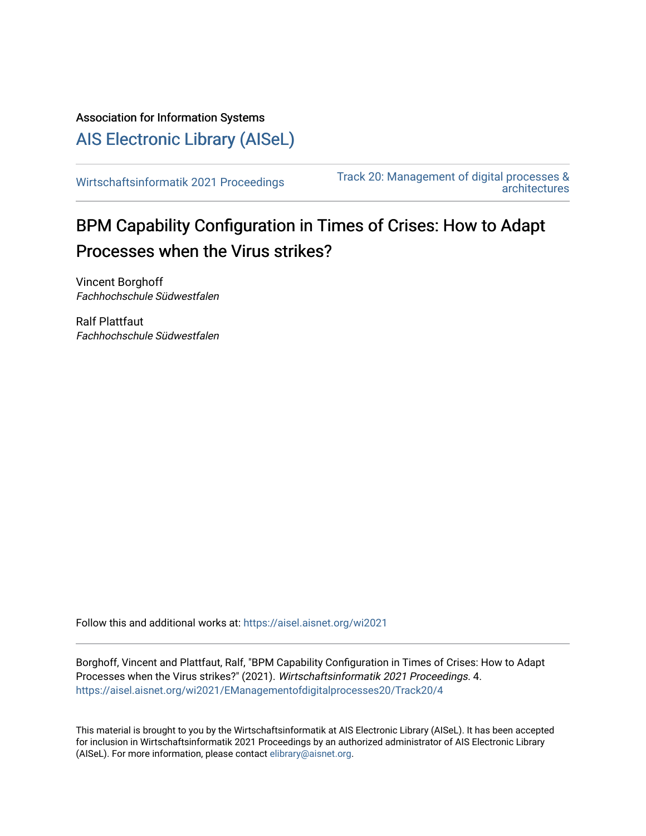Association for Information Systems

[AIS Electronic Library \(AISeL\)](https://aisel.aisnet.org/)

[Wirtschaftsinformatik 2021 Proceedings](https://aisel.aisnet.org/wi2021) [Track 20: Management of digital processes &](https://aisel.aisnet.org/wi2021/EManagementofdigitalprocesses20)  [architectures](https://aisel.aisnet.org/wi2021/EManagementofdigitalprocesses20) 

# BPM Capability Configuration in Times of Crises: How to Adapt Processes when the Virus strikes?

Vincent Borghoff Fachhochschule Südwestfalen

Ralf Plattfaut Fachhochschule Südwestfalen

Follow this and additional works at: [https://aisel.aisnet.org/wi2021](https://aisel.aisnet.org/wi2021?utm_source=aisel.aisnet.org%2Fwi2021%2FEManagementofdigitalprocesses20%2FTrack20%2F4&utm_medium=PDF&utm_campaign=PDFCoverPages) 

Borghoff, Vincent and Plattfaut, Ralf, "BPM Capability Configuration in Times of Crises: How to Adapt Processes when the Virus strikes?" (2021). Wirtschaftsinformatik 2021 Proceedings. 4. [https://aisel.aisnet.org/wi2021/EManagementofdigitalprocesses20/Track20/4](https://aisel.aisnet.org/wi2021/EManagementofdigitalprocesses20/Track20/4?utm_source=aisel.aisnet.org%2Fwi2021%2FEManagementofdigitalprocesses20%2FTrack20%2F4&utm_medium=PDF&utm_campaign=PDFCoverPages)

This material is brought to you by the Wirtschaftsinformatik at AIS Electronic Library (AISeL). It has been accepted for inclusion in Wirtschaftsinformatik 2021 Proceedings by an authorized administrator of AIS Electronic Library (AISeL). For more information, please contact [elibrary@aisnet.org](mailto:elibrary@aisnet.org%3E).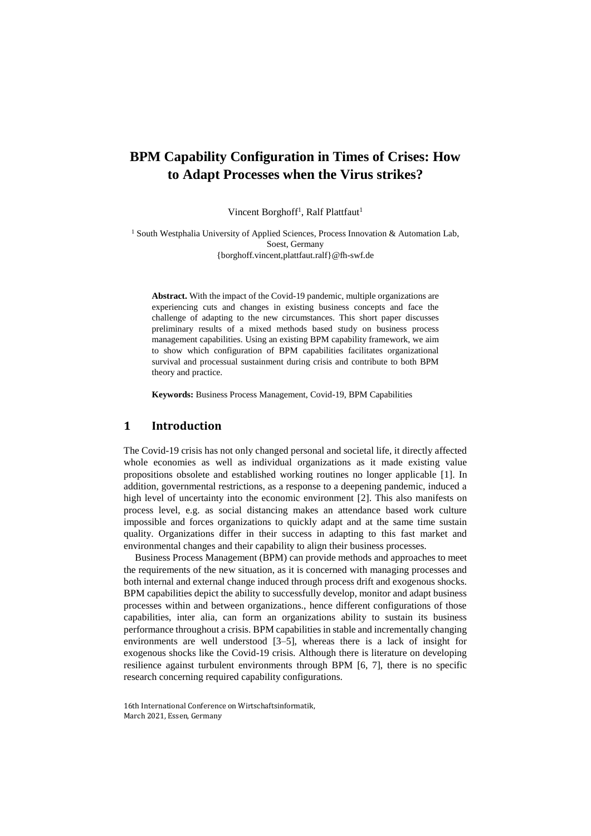## **BPM Capability Configuration in Times of Crises: How to Adapt Processes when the Virus strikes?**

Vincent Borghoff<sup>1</sup>, Ralf Plattfaut<sup>1</sup>

<sup>1</sup> South Westphalia University of Applied Sciences, Process Innovation & Automation Lab, Soest, Germany {borghoff.vincent,plattfaut.ralf}@fh-swf.de

**Abstract.** With the impact of the Covid-19 pandemic, multiple organizations are experiencing cuts and changes in existing business concepts and face the challenge of adapting to the new circumstances. This short paper discusses preliminary results of a mixed methods based study on business process management capabilities. Using an existing BPM capability framework, we aim to show which configuration of BPM capabilities facilitates organizational survival and processual sustainment during crisis and contribute to both BPM theory and practice.

**Keywords:** Business Process Management, Covid-19, BPM Capabilities

### **1 Introduction**

The Covid-19 crisis has not only changed personal and societal life, it directly affected whole economies as well as individual organizations as it made existing value propositions obsolete and established working routines no longer applicable [1]. In addition, governmental restrictions, as a response to a deepening pandemic, induced a high level of uncertainty into the economic environment [2]. This also manifests on process level, e.g. as social distancing makes an attendance based work culture impossible and forces organizations to quickly adapt and at the same time sustain quality. Organizations differ in their success in adapting to this fast market and environmental changes and their capability to align their business processes.

Business Process Management (BPM) can provide methods and approaches to meet the requirements of the new situation, as it is concerned with managing processes and both internal and external change induced through process drift and exogenous shocks. BPM capabilities depict the ability to successfully develop, monitor and adapt business processes within and between organizations., hence different configurations of those capabilities, inter alia, can form an organizations ability to sustain its business performance throughout a crisis. BPM capabilities in stable and incrementally changing environments are well understood [3–5], whereas there is a lack of insight for exogenous shocks like the Covid-19 crisis. Although there is literature on developing resilience against turbulent environments through BPM [6, 7], there is no specific research concerning required capability configurations.

<sup>16</sup>th International Conference on Wirtschaftsinformatik, March 2021, Essen, Germany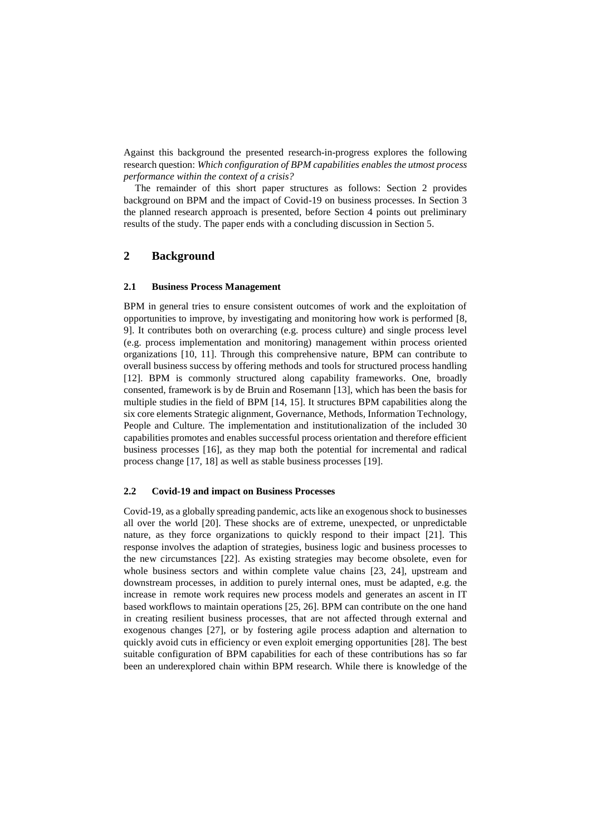Against this background the presented research-in-progress explores the following research question: *Which configuration of BPM capabilities enables the utmost process performance within the context of a crisis?*

The remainder of this short paper structures as follows: Section 2 provides background on BPM and the impact of Covid-19 on business processes. In Section 3 the planned research approach is presented, before Section 4 points out preliminary results of the study. The paper ends with a concluding discussion in Section 5.

## **2 Background**

#### **2.1 Business Process Management**

BPM in general tries to ensure consistent outcomes of work and the exploitation of opportunities to improve, by investigating and monitoring how work is performed [8, 9]. It contributes both on overarching (e.g. process culture) and single process level (e.g. process implementation and monitoring) management within process oriented organizations [10, 11]. Through this comprehensive nature, BPM can contribute to overall business success by offering methods and tools for structured process handling [12]. BPM is commonly structured along capability frameworks. One, broadly consented, framework is by de Bruin and Rosemann [13], which has been the basis for multiple studies in the field of BPM [14, 15]. It structures BPM capabilities along the six core elements Strategic alignment, Governance, Methods, Information Technology, People and Culture. The implementation and institutionalization of the included 30 capabilities promotes and enables successful process orientation and therefore efficient business processes [16], as they map both the potential for incremental and radical process change [17, 18] as well as stable business processes [19].

#### **2.2 Covid-19 and impact on Business Processes**

Covid-19, as a globally spreading pandemic, acts like an exogenous shock to businesses all over the world [20]. These shocks are of extreme, unexpected, or unpredictable nature, as they force organizations to quickly respond to their impact [21]. This response involves the adaption of strategies, business logic and business processes to the new circumstances [22]. As existing strategies may become obsolete, even for whole business sectors and within complete value chains [23, 24], upstream and downstream processes, in addition to purely internal ones, must be adapted, e.g. the increase in remote work requires new process models and generates an ascent in IT based workflows to maintain operations [25, 26]. BPM can contribute on the one hand in creating resilient business processes, that are not affected through external and exogenous changes [27], or by fostering agile process adaption and alternation to quickly avoid cuts in efficiency or even exploit emerging opportunities [28]. The best suitable configuration of BPM capabilities for each of these contributions has so far been an underexplored chain within BPM research. While there is knowledge of the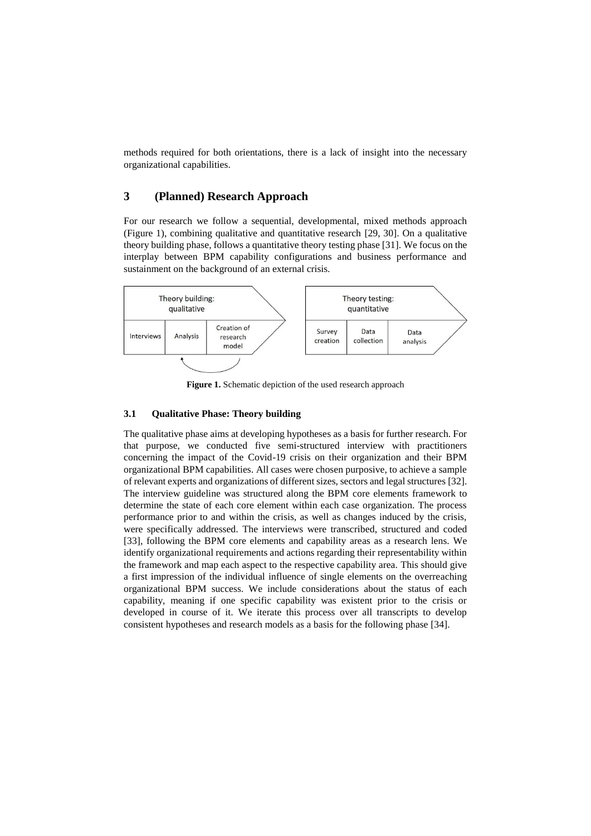methods required for both orientations, there is a lack of insight into the necessary organizational capabilities.

### **3 (Planned) Research Approach**

For our research we follow a sequential, developmental, mixed methods approach (Figure 1), combining qualitative and quantitative research [29, 30]. On a qualitative theory building phase, follows a quantitative theory testing phase [31]. We focus on the interplay between BPM capability configurations and business performance and sustainment on the background of an external crisis.



Figure 1. Schematic depiction of the used research approach

#### **3.1 Qualitative Phase: Theory building**

The qualitative phase aims at developing hypotheses as a basis for further research. For that purpose, we conducted five semi-structured interview with practitioners concerning the impact of the Covid-19 crisis on their organization and their BPM organizational BPM capabilities. All cases were chosen purposive, to achieve a sample of relevant experts and organizations of different sizes, sectors and legal structures [32]. The interview guideline was structured along the BPM core elements framework to determine the state of each core element within each case organization. The process performance prior to and within the crisis, as well as changes induced by the crisis, were specifically addressed. The interviews were transcribed, structured and coded [33], following the BPM core elements and capability areas as a research lens. We identify organizational requirements and actions regarding their representability within the framework and map each aspect to the respective capability area. This should give a first impression of the individual influence of single elements on the overreaching organizational BPM success. We include considerations about the status of each capability, meaning if one specific capability was existent prior to the crisis or developed in course of it. We iterate this process over all transcripts to develop consistent hypotheses and research models as a basis for the following phase [34].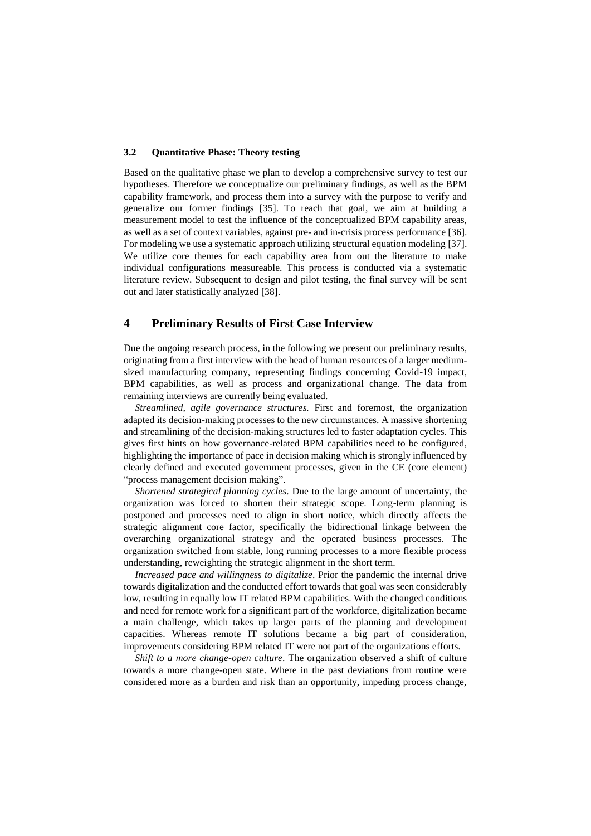#### **3.2 Quantitative Phase: Theory testing**

Based on the qualitative phase we plan to develop a comprehensive survey to test our hypotheses. Therefore we conceptualize our preliminary findings, as well as the BPM capability framework, and process them into a survey with the purpose to verify and generalize our former findings [35]. To reach that goal, we aim at building a measurement model to test the influence of the conceptualized BPM capability areas, as well as a set of context variables, against pre- and in-crisis process performance [36]. For modeling we use a systematic approach utilizing structural equation modeling [37]. We utilize core themes for each capability area from out the literature to make individual configurations measureable. This process is conducted via a systematic literature review. Subsequent to design and pilot testing, the final survey will be sent out and later statistically analyzed [38].

## **4 Preliminary Results of First Case Interview**

Due the ongoing research process, in the following we present our preliminary results, originating from a first interview with the head of human resources of a larger mediumsized manufacturing company, representing findings concerning Covid-19 impact, BPM capabilities, as well as process and organizational change. The data from remaining interviews are currently being evaluated.

*Streamlined, agile governance structures.* First and foremost, the organization adapted its decision-making processes to the new circumstances. A massive shortening and streamlining of the decision-making structures led to faster adaptation cycles. This gives first hints on how governance-related BPM capabilities need to be configured, highlighting the importance of pace in decision making which is strongly influenced by clearly defined and executed government processes, given in the CE (core element) "process management decision making".

*Shortened strategical planning cycles*. Due to the large amount of uncertainty, the organization was forced to shorten their strategic scope. Long-term planning is postponed and processes need to align in short notice, which directly affects the strategic alignment core factor, specifically the bidirectional linkage between the overarching organizational strategy and the operated business processes. The organization switched from stable, long running processes to a more flexible process understanding, reweighting the strategic alignment in the short term.

*Increased pace and willingness to digitalize*. Prior the pandemic the internal drive towards digitalization and the conducted effort towards that goal was seen considerably low, resulting in equally low IT related BPM capabilities. With the changed conditions and need for remote work for a significant part of the workforce, digitalization became a main challenge, which takes up larger parts of the planning and development capacities. Whereas remote IT solutions became a big part of consideration, improvements considering BPM related IT were not part of the organizations efforts.

*Shift to a more change-open culture*. The organization observed a shift of culture towards a more change-open state. Where in the past deviations from routine were considered more as a burden and risk than an opportunity, impeding process change,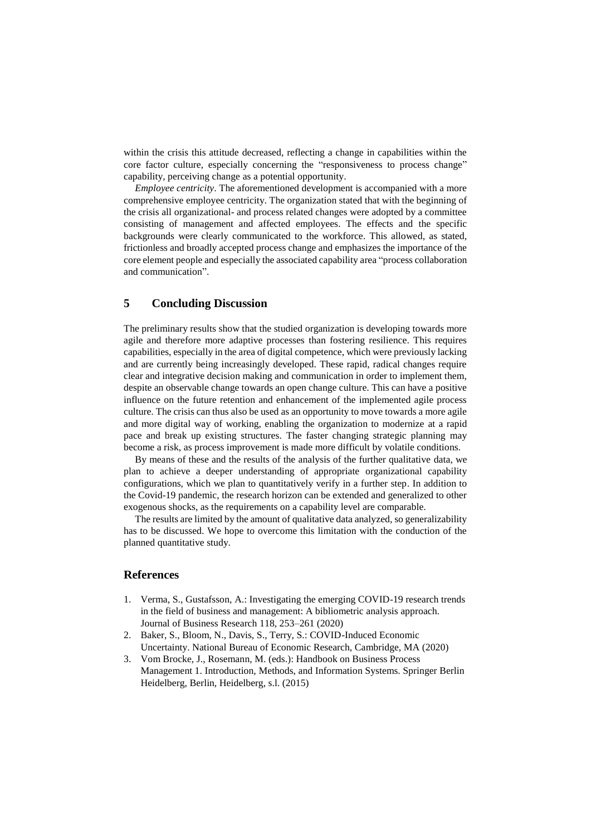within the crisis this attitude decreased, reflecting a change in capabilities within the core factor culture, especially concerning the "responsiveness to process change" capability, perceiving change as a potential opportunity.

*Employee centricity*. The aforementioned development is accompanied with a more comprehensive employee centricity. The organization stated that with the beginning of the crisis all organizational- and process related changes were adopted by a committee consisting of management and affected employees. The effects and the specific backgrounds were clearly communicated to the workforce. This allowed, as stated, frictionless and broadly accepted process change and emphasizes the importance of the core element people and especially the associated capability area "process collaboration and communication".

## **5 Concluding Discussion**

The preliminary results show that the studied organization is developing towards more agile and therefore more adaptive processes than fostering resilience. This requires capabilities, especially in the area of digital competence, which were previously lacking and are currently being increasingly developed. These rapid, radical changes require clear and integrative decision making and communication in order to implement them, despite an observable change towards an open change culture. This can have a positive influence on the future retention and enhancement of the implemented agile process culture. The crisis can thus also be used as an opportunity to move towards a more agile and more digital way of working, enabling the organization to modernize at a rapid pace and break up existing structures. The faster changing strategic planning may become a risk, as process improvement is made more difficult by volatile conditions.

By means of these and the results of the analysis of the further qualitative data, we plan to achieve a deeper understanding of appropriate organizational capability configurations, which we plan to quantitatively verify in a further step. In addition to the Covid-19 pandemic, the research horizon can be extended and generalized to other exogenous shocks, as the requirements on a capability level are comparable.

The results are limited by the amount of qualitative data analyzed, so generalizability has to be discussed. We hope to overcome this limitation with the conduction of the planned quantitative study.

#### **References**

- 1. Verma, S., Gustafsson, A.: Investigating the emerging COVID-19 research trends in the field of business and management: A bibliometric analysis approach. Journal of Business Research 118, 253–261 (2020)
- 2. Baker, S., Bloom, N., Davis, S., Terry, S.: COVID-Induced Economic Uncertainty. National Bureau of Economic Research, Cambridge, MA (2020)
- 3. Vom Brocke, J., Rosemann, M. (eds.): Handbook on Business Process Management 1. Introduction, Methods, and Information Systems. Springer Berlin Heidelberg, Berlin, Heidelberg, s.l. (2015)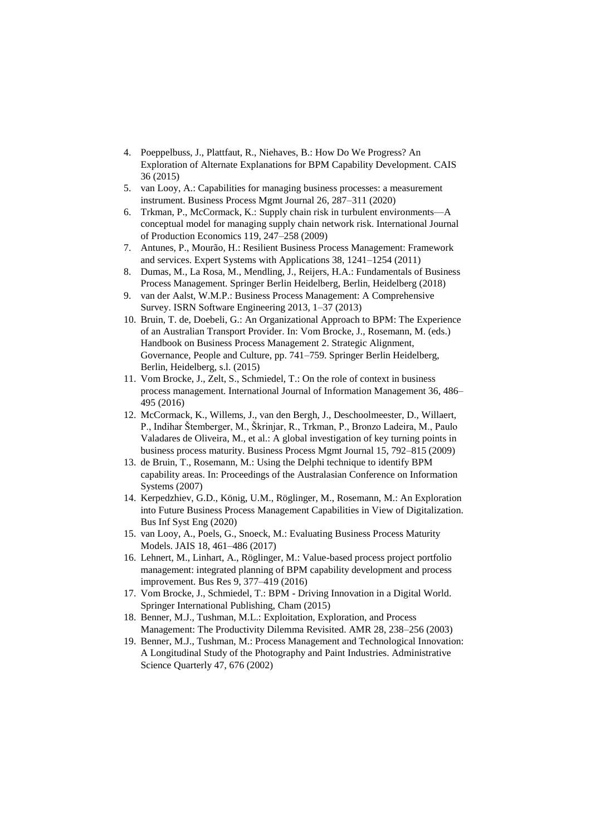- 4. Poeppelbuss, J., Plattfaut, R., Niehaves, B.: How Do We Progress? An Exploration of Alternate Explanations for BPM Capability Development. CAIS 36 (2015)
- 5. van Looy, A.: Capabilities for managing business processes: a measurement instrument. Business Process Mgmt Journal 26, 287–311 (2020)
- 6. Trkman, P., McCormack, K.: Supply chain risk in turbulent environments—A conceptual model for managing supply chain network risk. International Journal of Production Economics 119, 247–258 (2009)
- 7. Antunes, P., Mourão, H.: Resilient Business Process Management: Framework and services. Expert Systems with Applications 38, 1241–1254 (2011)
- 8. Dumas, M., La Rosa, M., Mendling, J., Reijers, H.A.: Fundamentals of Business Process Management. Springer Berlin Heidelberg, Berlin, Heidelberg (2018)
- 9. van der Aalst, W.M.P.: Business Process Management: A Comprehensive Survey. ISRN Software Engineering 2013, 1–37 (2013)
- 10. Bruin, T. de, Doebeli, G.: An Organizational Approach to BPM: The Experience of an Australian Transport Provider. In: Vom Brocke, J., Rosemann, M. (eds.) Handbook on Business Process Management 2. Strategic Alignment, Governance, People and Culture, pp. 741–759. Springer Berlin Heidelberg, Berlin, Heidelberg, s.l. (2015)
- 11. Vom Brocke, J., Zelt, S., Schmiedel, T.: On the role of context in business process management. International Journal of Information Management 36, 486– 495 (2016)
- 12. McCormack, K., Willems, J., van den Bergh, J., Deschoolmeester, D., Willaert, P., Indihar Štemberger, M., Škrinjar, R., Trkman, P., Bronzo Ladeira, M., Paulo Valadares de Oliveira, M., et al.: A global investigation of key turning points in business process maturity. Business Process Mgmt Journal 15, 792–815 (2009)
- 13. de Bruin, T., Rosemann, M.: Using the Delphi technique to identify BPM capability areas. In: Proceedings of the Australasian Conference on Information Systems (2007)
- 14. Kerpedzhiev, G.D., König, U.M., Röglinger, M., Rosemann, M.: An Exploration into Future Business Process Management Capabilities in View of Digitalization. Bus Inf Syst Eng (2020)
- 15. van Looy, A., Poels, G., Snoeck, M.: Evaluating Business Process Maturity Models. JAIS 18, 461–486 (2017)
- 16. Lehnert, M., Linhart, A., Röglinger, M.: Value-based process project portfolio management: integrated planning of BPM capability development and process improvement. Bus Res 9, 377–419 (2016)
- 17. Vom Brocke, J., Schmiedel, T.: BPM Driving Innovation in a Digital World. Springer International Publishing, Cham (2015)
- 18. Benner, M.J., Tushman, M.L.: Exploitation, Exploration, and Process Management: The Productivity Dilemma Revisited. AMR 28, 238–256 (2003)
- 19. Benner, M.J., Tushman, M.: Process Management and Technological Innovation: A Longitudinal Study of the Photography and Paint Industries. Administrative Science Quarterly 47, 676 (2002)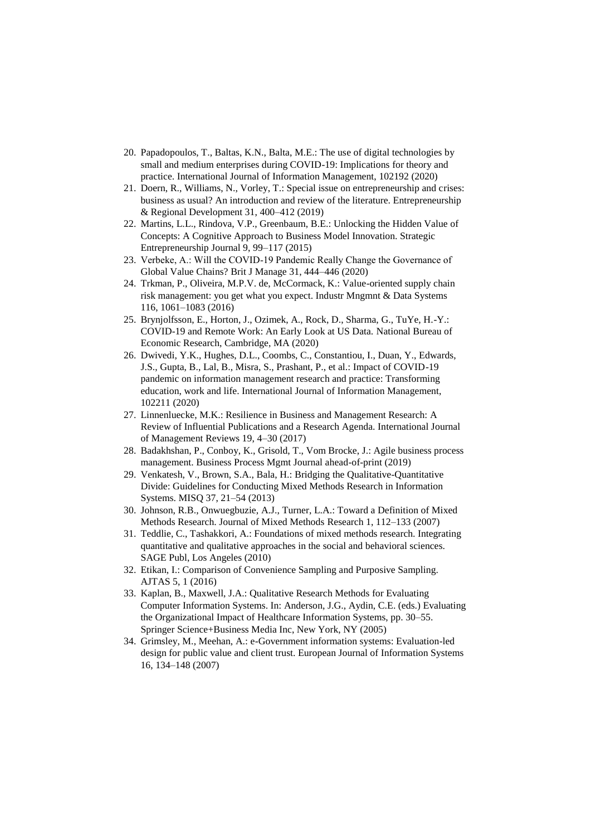- 20. Papadopoulos, T., Baltas, K.N., Balta, M.E.: The use of digital technologies by small and medium enterprises during COVID-19: Implications for theory and practice. International Journal of Information Management, 102192 (2020)
- 21. Doern, R., Williams, N., Vorley, T.: Special issue on entrepreneurship and crises: business as usual? An introduction and review of the literature. Entrepreneurship & Regional Development 31, 400–412 (2019)
- 22. Martins, L.L., Rindova, V.P., Greenbaum, B.E.: Unlocking the Hidden Value of Concepts: A Cognitive Approach to Business Model Innovation. Strategic Entrepreneurship Journal 9, 99–117 (2015)
- 23. Verbeke, A.: Will the COVID‐19 Pandemic Really Change the Governance of Global Value Chains? Brit J Manage 31, 444–446 (2020)
- 24. Trkman, P., Oliveira, M.P.V. de, McCormack, K.: Value-oriented supply chain risk management: you get what you expect. Industr Mngmnt & Data Systems 116, 1061–1083 (2016)
- 25. Brynjolfsson, E., Horton, J., Ozimek, A., Rock, D., Sharma, G., TuYe, H.-Y.: COVID-19 and Remote Work: An Early Look at US Data. National Bureau of Economic Research, Cambridge, MA (2020)
- 26. Dwivedi, Y.K., Hughes, D.L., Coombs, C., Constantiou, I., Duan, Y., Edwards, J.S., Gupta, B., Lal, B., Misra, S., Prashant, P., et al.: Impact of COVID-19 pandemic on information management research and practice: Transforming education, work and life. International Journal of Information Management, 102211 (2020)
- 27. Linnenluecke, M.K.: Resilience in Business and Management Research: A Review of Influential Publications and a Research Agenda. International Journal of Management Reviews 19, 4–30 (2017)
- 28. Badakhshan, P., Conboy, K., Grisold, T., Vom Brocke, J.: Agile business process management. Business Process Mgmt Journal ahead-of-print (2019)
- 29. Venkatesh, V., Brown, S.A., Bala, H.: Bridging the Qualitative-Quantitative Divide: Guidelines for Conducting Mixed Methods Research in Information Systems. MISQ 37, 21–54 (2013)
- 30. Johnson, R.B., Onwuegbuzie, A.J., Turner, L.A.: Toward a Definition of Mixed Methods Research. Journal of Mixed Methods Research 1, 112–133 (2007)
- 31. Teddlie, C., Tashakkori, A.: Foundations of mixed methods research. Integrating quantitative and qualitative approaches in the social and behavioral sciences. SAGE Publ, Los Angeles (2010)
- 32. Etikan, I.: Comparison of Convenience Sampling and Purposive Sampling. AJTAS 5, 1 (2016)
- 33. Kaplan, B., Maxwell, J.A.: Qualitative Research Methods for Evaluating Computer Information Systems. In: Anderson, J.G., Aydin, C.E. (eds.) Evaluating the Organizational Impact of Healthcare Information Systems, pp. 30–55. Springer Science+Business Media Inc, New York, NY (2005)
- 34. Grimsley, M., Meehan, A.: e-Government information systems: Evaluation-led design for public value and client trust. European Journal of Information Systems 16, 134–148 (2007)